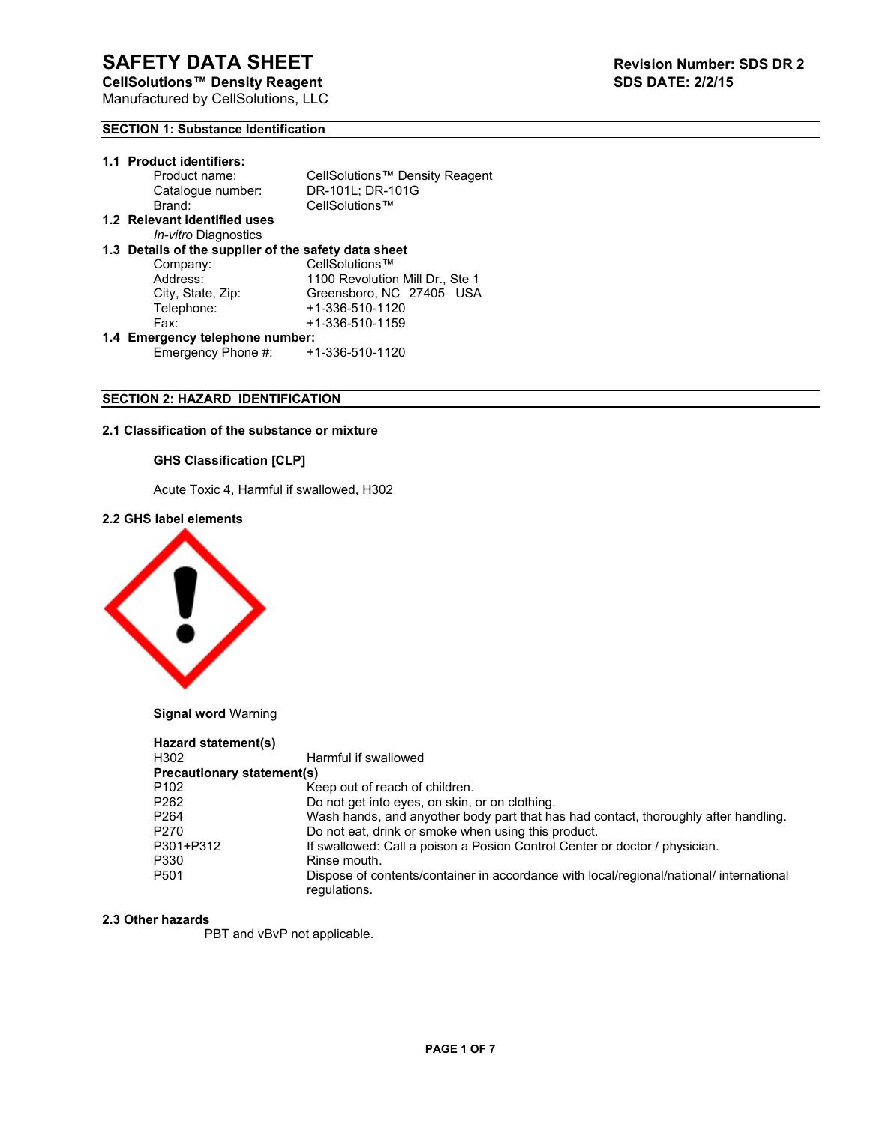# **SECTION 1: Substance Identification**

| 1.1 Product identifiers:                             |                                 |  |  |
|------------------------------------------------------|---------------------------------|--|--|
| Product name:                                        | CellSolutions™ Density Reagent  |  |  |
| Catalogue number:                                    | DR-101L; DR-101G                |  |  |
| Brand:                                               | CellSolutions™                  |  |  |
| 1.2 Relevant identified uses                         |                                 |  |  |
| <i>In-vitro</i> Diagnostics                          |                                 |  |  |
| 1.3 Details of the supplier of the safety data sheet |                                 |  |  |
| Company:                                             | CellSolutions™                  |  |  |
| Address:                                             | 1100 Revolution Mill Dr., Ste 1 |  |  |
| City, State, Zip:                                    | Greensboro, NC 27405 USA        |  |  |
| Telephone:                                           | +1-336-510-1120                 |  |  |
| Fax:                                                 | +1-336-510-1159                 |  |  |
| 1.4 Emergency telephone number:                      |                                 |  |  |
| Emergency Phone #:                                   | +1-336-510-1120                 |  |  |

# **SECTION 2: HAZARD IDENTIFICATION**

# **2.1 Classification of the substance or mixture**

# **GHS Classification [CLP]**

Acute Toxic 4, Harmful if swallowed, H302

# **2.2 GHS label elements**



**Signal word** Warning

| Hazard statement(s)               |                                                                                                         |
|-----------------------------------|---------------------------------------------------------------------------------------------------------|
| H302                              | Harmful if swallowed                                                                                    |
| <b>Precautionary statement(s)</b> |                                                                                                         |
| P <sub>102</sub>                  | Keep out of reach of children.                                                                          |
| P <sub>262</sub>                  | Do not get into eyes, on skin, or on clothing.                                                          |
| P <sub>264</sub>                  | Wash hands, and anyother body part that has had contact, thoroughly after handling.                     |
| P270                              | Do not eat, drink or smoke when using this product.                                                     |
| P301+P312                         | If swallowed: Call a poison a Posion Control Center or doctor / physician.                              |
| P330                              | Rinse mouth.                                                                                            |
| P <sub>501</sub>                  | Dispose of contents/container in accordance with local/regional/national/ international<br>regulations. |

# **2.3 Other hazards**

PBT and vBvP not applicable.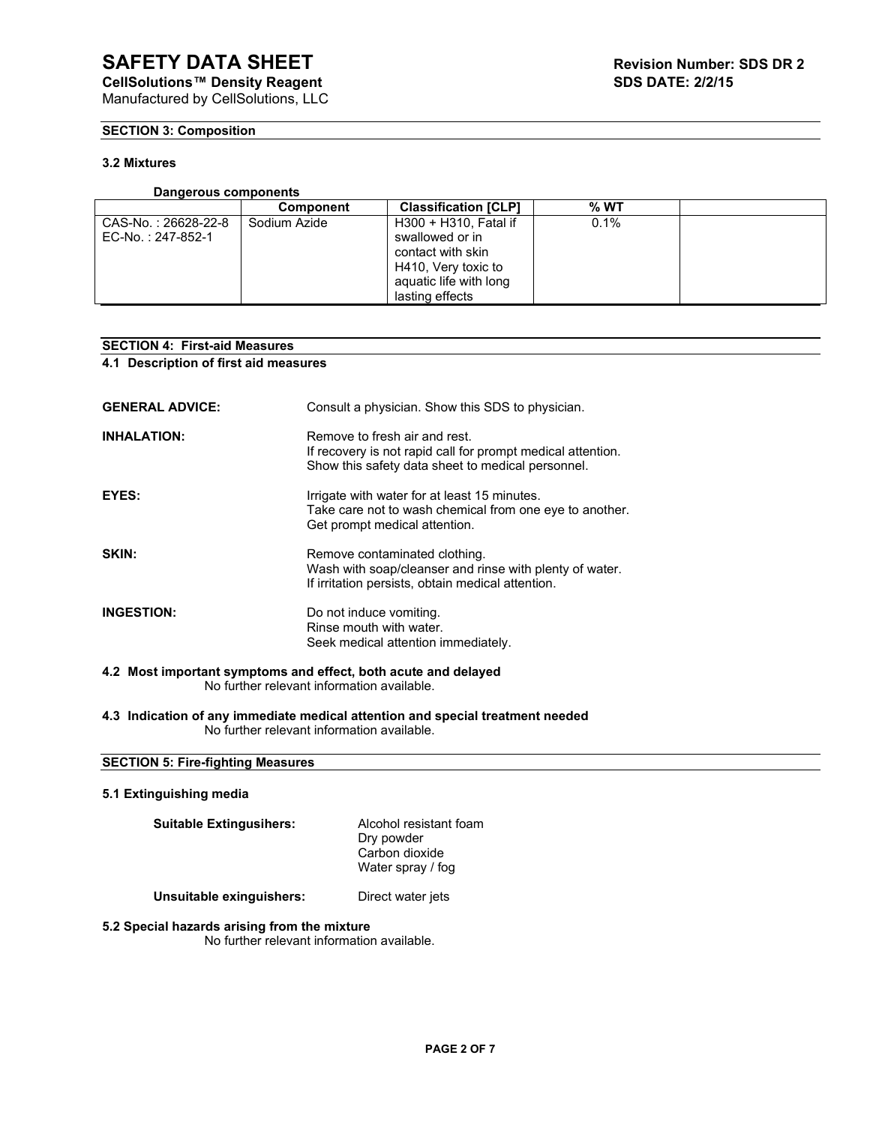# **SECTION 3: Composition**

# **3.2 Mixtures**

# **Dangerous components**

|                     | <b>Component</b> | <b>Classification [CLP]</b> | $%$ WT |  |
|---------------------|------------------|-----------------------------|--------|--|
| CAS-No.: 26628-22-8 | Sodium Azide     | H300 + H310, Fatal if       | 0.1%   |  |
| EC-No.: 247-852-1   |                  | swallowed or in             |        |  |
|                     |                  | contact with skin           |        |  |
|                     |                  | H410, Very toxic to         |        |  |
|                     |                  | aquatic life with long      |        |  |
|                     |                  | lasting effects             |        |  |

# **SECTION 4: First-aid Measures**

**4.1 Description of first aid measures**

| <b>GENERAL ADVICE:</b>                                         | Consult a physician. Show this SDS to physician.                                                                                                  |  |
|----------------------------------------------------------------|---------------------------------------------------------------------------------------------------------------------------------------------------|--|
| <b>INHALATION:</b>                                             | Remove to fresh air and rest.<br>If recovery is not rapid call for prompt medical attention.<br>Show this safety data sheet to medical personnel. |  |
| EYES:                                                          | Irrigate with water for at least 15 minutes.<br>Take care not to wash chemical from one eye to another.<br>Get prompt medical attention.          |  |
| SKIN:                                                          | Remove contaminated clothing.<br>Wash with soap/cleanser and rinse with plenty of water.<br>If irritation persists, obtain medical attention.     |  |
| <b>INGESTION:</b>                                              | Do not induce vomiting.<br>Rinse mouth with water.<br>Seek medical attention immediately.                                                         |  |
| 4.2 Most important symptoms and effect, both acute and delayed |                                                                                                                                                   |  |

No further relevant information available.

**4.3 Indication of any immediate medical attention and special treatment needed** No further relevant information available.

# **SECTION 5: Fire-fighting Measures**

# **5.1 Extinguishing media**

| <b>Suitable Extingusihers:</b> | Alcohol resistant foam<br>Dry powder<br>Carbon dioxide<br>Water spray / fog |
|--------------------------------|-----------------------------------------------------------------------------|
| Unsuitable exinguishers:       | Direct water jets                                                           |

**5.2 Special hazards arising from the mixture** 

No further relevant information available.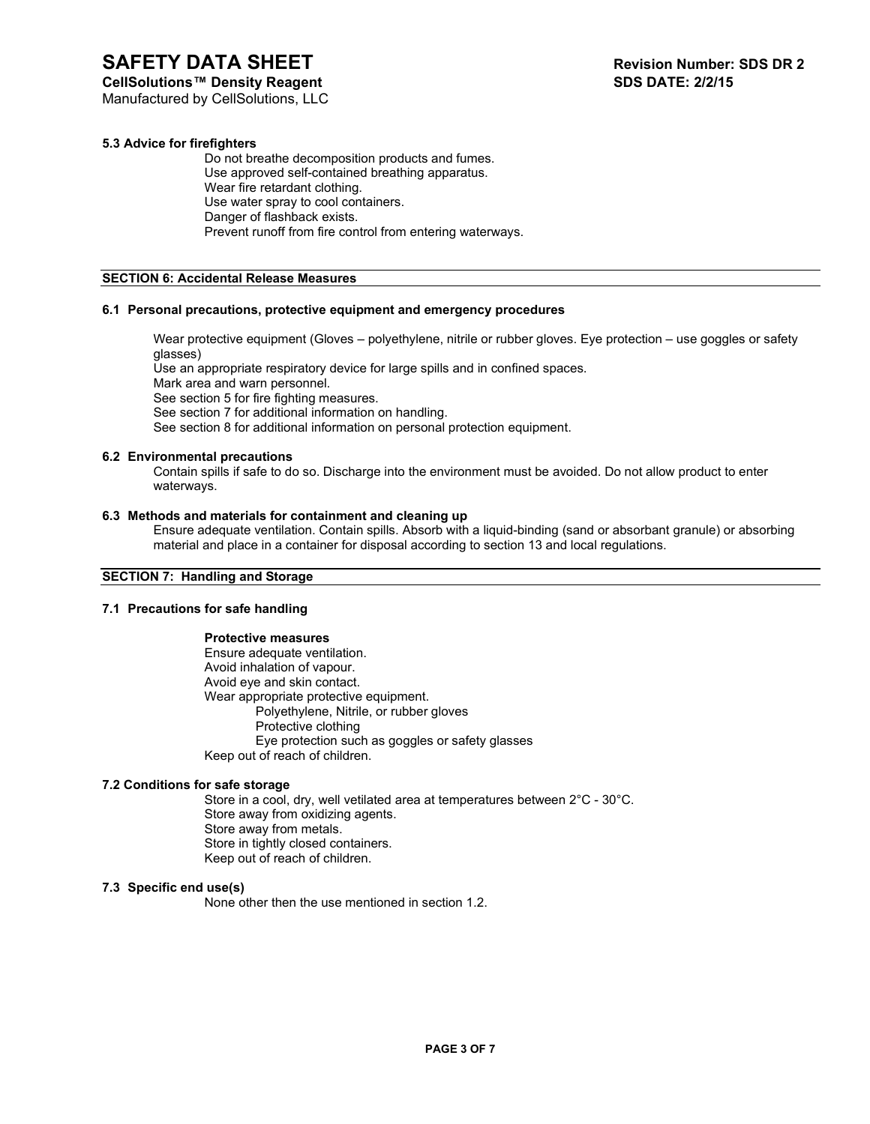**CellSolutions™ Density Reagent** 

# **5.3 Advice for firefighters**

Do not breathe decomposition products and fumes. Use approved self-contained breathing apparatus. Wear fire retardant clothing. Use water spray to cool containers. Danger of flashback exists. Prevent runoff from fire control from entering waterways.

# **SECTION 6: Accidental Release Measures**

# **6.1 Personal precautions, protective equipment and emergency procedures**

Wear protective equipment (Gloves – polyethylene, nitrile or rubber gloves. Eye protection – use goggles or safety glasses)

Use an appropriate respiratory device for large spills and in confined spaces.

Mark area and warn personnel.

See section 5 for fire fighting measures.

See section 7 for additional information on handling.

See section 8 for additional information on personal protection equipment.

# **6.2 Environmental precautions**

Contain spills if safe to do so. Discharge into the environment must be avoided. Do not allow product to enter waterways.

# **6.3 Methods and materials for containment and cleaning up**

Ensure adequate ventilation. Contain spills. Absorb with a liquid-binding (sand or absorbant granule) or absorbing material and place in a container for disposal according to section 13 and local regulations.

# **SECTION 7: Handling and Storage**

# **7.1 Precautions for safe handling**

# **Protective measures**

Ensure adequate ventilation. Avoid inhalation of vapour. Avoid eye and skin contact. Wear appropriate protective equipment. Polyethylene, Nitrile, or rubber gloves Protective clothing Eye protection such as goggles or safety glasses Keep out of reach of children.

# **7.2 Conditions for safe storage**

Store in a cool, dry, well vetilated area at temperatures between 2°C - 30°C. Store away from oxidizing agents. Store away from metals. Store in tightly closed containers. Keep out of reach of children.

# **7.3 Specific end use(s)**

None other then the use mentioned in section 1.2.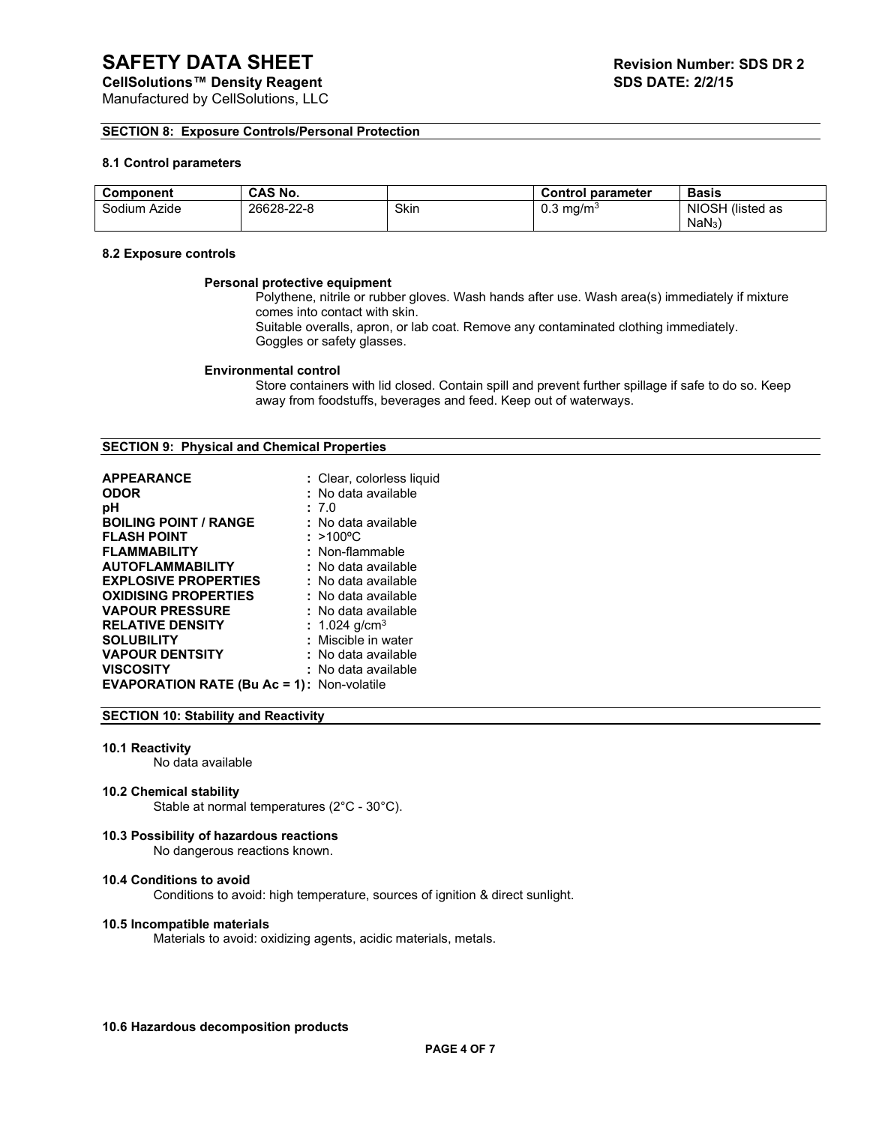## **SECTION 8: Exposure Controls/Personal Protection**

# **8.1 Control parameters**

| <b>Component</b> | <b>CAS No.</b> |      | <b>Control parameter</b> | <b>Basis</b>     |
|------------------|----------------|------|--------------------------|------------------|
| Sodium Azide     | 26628-22-8     | Skin | 0.3<br>∍ma/mª            | NIOSH (listed as |
|                  |                |      |                          | NaN <sub>3</sub> |

# **8.2 Exposure controls**

### **Personal protective equipment**

Polythene, nitrile or rubber gloves. Wash hands after use. Wash area(s) immediately if mixture comes into contact with skin.

Suitable overalls, apron, or lab coat. Remove any contaminated clothing immediately. Goggles or safety glasses.

## **Environmental control**

Store containers with lid closed. Contain spill and prevent further spillage if safe to do so. Keep away from foodstuffs, beverages and feed. Keep out of waterways.

## **SECTION 9: Physical and Chemical Properties**

| <b>APPEARANCE</b>                                 | : Clear, colorless liquid |
|---------------------------------------------------|---------------------------|
| <b>ODOR</b>                                       | : No data available       |
| рH                                                | : 7.0                     |
| <b>BOILING POINT / RANGE</b>                      | : No data available       |
| <b>FLASH POINT</b>                                | : >100°C                  |
| <b>FLAMMABILITY</b>                               | : Non-flammable           |
| <b>AUTOFLAMMABILITY</b>                           | : No data available       |
| <b>EXPLOSIVE PROPERTIES</b>                       | : No data available       |
| <b>OXIDISING PROPERTIES</b>                       | : No data available       |
| <b>VAPOUR PRESSURE</b>                            | : No data available       |
| <b>RELATIVE DENSITY</b>                           | : 1.024 g/cm <sup>3</sup> |
| <b>SOLUBILITY</b>                                 | : Miscible in water       |
| <b>VAPOUR DENTSITY</b>                            | : No data available       |
| <b>VISCOSITY</b>                                  | : No data available       |
| <b>EVAPORATION RATE (Bu Ac = 1): Non-volatile</b> |                           |

## **SECTION 10: Stability and Reactivity**

# **10.1 Reactivity**

No data available

### **10.2 Chemical stability**

Stable at normal temperatures (2°C - 30°C).

## **10.3 Possibility of hazardous reactions**

No dangerous reactions known.

# **10.4 Conditions to avoid**

Conditions to avoid: high temperature, sources of ignition & direct sunlight.

### **10.5 Incompatible materials**

Materials to avoid: oxidizing agents, acidic materials, metals.

# **10.6 Hazardous decomposition products**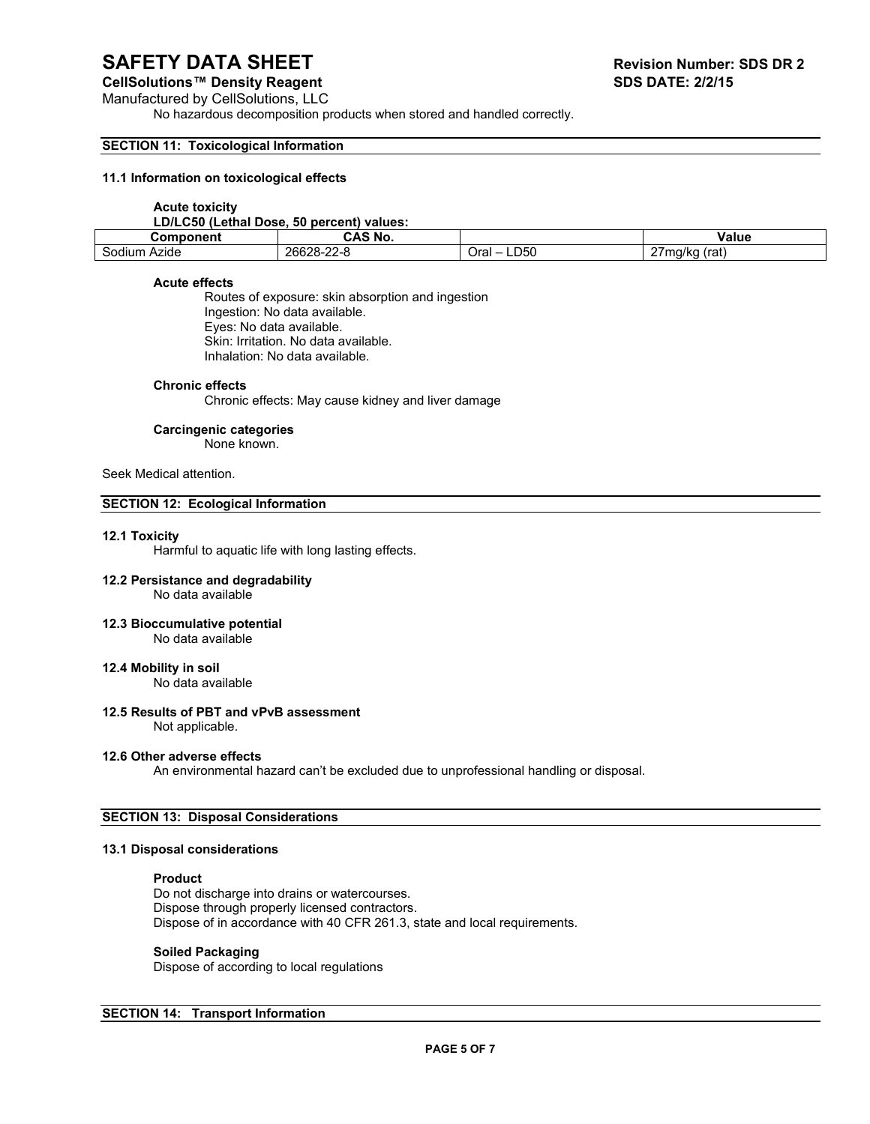## **CellSolutions™ Density Reagent**

Manufactured by CellSolutions, LLC

No hazardous decomposition products when stored and handled correctly.

## **SECTION 11: Toxicological Information**

## **11.1 Information on toxicological effects**

### **Acute toxicity**

### **LD/LC50 (Lethal Dose, 50 percent) values:**

| Component       | AS No.              |             | Value                             |
|-----------------|---------------------|-------------|-----------------------------------|
| Azıde<br>sodiur | 26628<br>$\sim$<br> | LD50<br>Ora | $\sim$ $-$<br>(rat<br>1/kr<br>. . |

# **Acute effects**

Routes of exposure: skin absorption and ingestion Ingestion: No data available. Eyes: No data available. Skin: Irritation. No data available. Inhalation: No data available.

### **Chronic effects**

Chronic effects: May cause kidney and liver damage

## **Carcingenic categories**

None known.

# Seek Medical attention.

# **SECTION 12: Ecological Information**

### **12.1 Toxicity**

Harmful to aquatic life with long lasting effects.

### **12.2 Persistance and degradability** No data available

# **12.3 Bioccumulative potential**

No data available

# **12.4 Mobility in soil**

No data available

# **12.5 Results of PBT and vPvB assessment**

Not applicable.

# **12.6 Other adverse effects**

An environmental hazard can't be excluded due to unprofessional handling or disposal.

### **SECTION 13: Disposal Considerations**

# **13.1 Disposal considerations**

## **Product**

Do not discharge into drains or watercourses. Dispose through properly licensed contractors. Dispose of in accordance with 40 CFR 261.3, state and local requirements.

# **Soiled Packaging**

Dispose of according to local regulations

# **SECTION 14: Transport Information**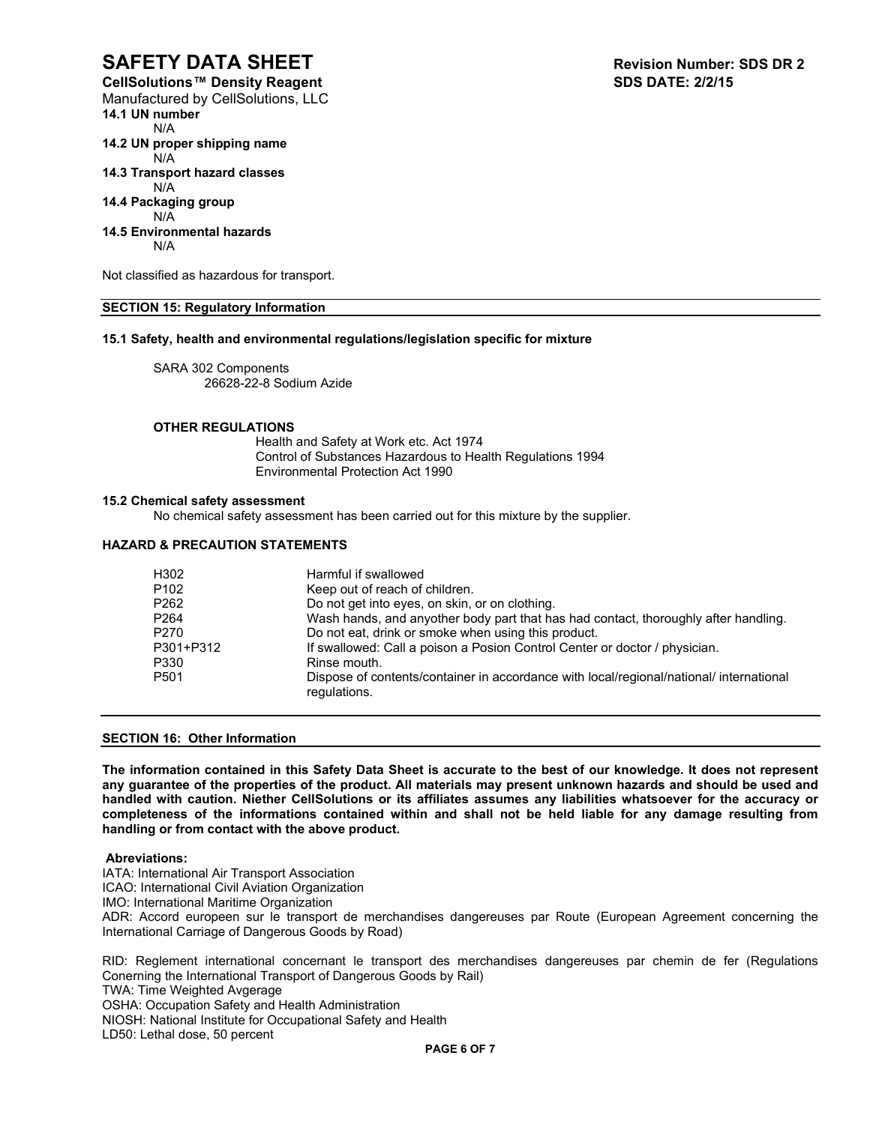**CellSolutions™ Density Reagent** Manufactured by CellSolutions, LLC **14.1 UN number** N/A **14.2 UN proper shipping name** N/A

**14.3 Transport hazard classes**

### N/A **14.4 Packaging group**

# N/A

**14.5 Environmental hazards**

N/A

Not classified as hazardous for transport.

# **SECTION 15: Regulatory Information**

# **15.1 Safety, health and environmental regulations/legislation specific for mixture**

SARA 302 Components 26628-22-8 Sodium Azide

# **OTHER REGULATIONS**

Health and Safety at Work etc. Act 1974 Control of Substances Hazardous to Health Regulations 1994 Environmental Protection Act 1990

## **15.2 Chemical safety assessment**

No chemical safety assessment has been carried out for this mixture by the supplier.

# **HAZARD & PRECAUTION STATEMENTS**

| H302             | Harmful if swallowed                                                                                    |
|------------------|---------------------------------------------------------------------------------------------------------|
| P <sub>102</sub> | Keep out of reach of children.                                                                          |
| P <sub>262</sub> | Do not get into eyes, on skin, or on clothing.                                                          |
| P <sub>264</sub> | Wash hands, and anyother body part that has had contact, thoroughly after handling.                     |
| P <sub>270</sub> | Do not eat, drink or smoke when using this product.                                                     |
| P301+P312        | If swallowed: Call a poison a Posion Control Center or doctor / physician.                              |
| P330             | Rinse mouth.                                                                                            |
| P <sub>501</sub> | Dispose of contents/container in accordance with local/regional/national/ international<br>regulations. |

# **SECTION 16: Other Information**

**The information contained in this Safety Data Sheet is accurate to the best of our knowledge. It does not represent any guarantee of the properties of the product. All materials may present unknown hazards and should be used and handled with caution. Niether CellSolutions or its affiliates assumes any liabilities whatsoever for the accuracy or completeness of the informations contained within and shall not be held liable for any damage resulting from handling or from contact with the above product.** 

### **Abreviations:**

IATA: International Air Transport Association

ICAO: International Civil Aviation Organization

IMO: International Maritime Organization

ADR: Accord europeen sur le transport de merchandises dangereuses par Route (European Agreement concerning the International Carriage of Dangerous Goods by Road)

RID: Reglement international concernant le transport des merchandises dangereuses par chemin de fer (Regulations Conerning the International Transport of Dangerous Goods by Rail)

TWA: Time Weighted Avgerage

OSHA: Occupation Safety and Health Administration

NIOSH: National Institute for Occupational Safety and Health

LD50: Lethal dose, 50 percent